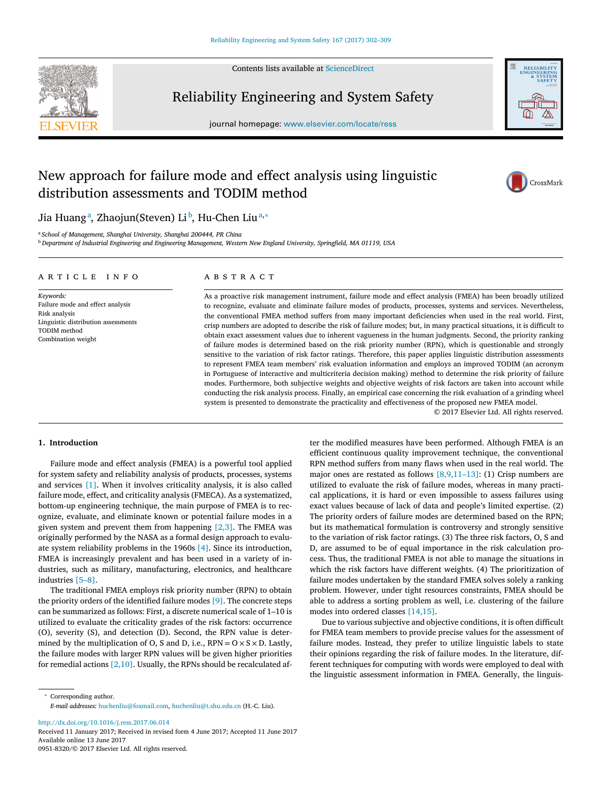Contents lists available at [ScienceDirect](http://www.ScienceDirect.com)



## Reliability Engineering and System Safety

journal homepage: [www.elsevier.com/locate/ress](http://www.elsevier.com/locate/ress)

# New approach for failure mode and effect analysis using linguistic distribution assessments and TODIM method





## Jia Huangª, Zhaojun(Steven) Liʰ, Hu-Chen Liuª<sup>,∗</sup>

<sup>a</sup> *School of Management, Shanghai University, Shanghai 200444, PR China*

<sup>b</sup> Department of Industrial Engineering and Engineering Management, Western New England University, Springfield, MA 01119, USA

## a r t i c l e i n f o

*Keywords:* Failure mode and effect analysis Risk analysis Linguistic distribution assessments TODIM method Combination weight

## A B S T R A C T

As a proactive risk management instrument, failure mode and effect analysis (FMEA) has been broadly utilized to recognize, evaluate and eliminate failure modes of products, processes, systems and services. Nevertheless, the conventional FMEA method suffers from many important deficiencies when used in the real world. First, crisp numbers are adopted to describe the risk of failure modes; but, in many practical situations, it is difficult to obtain exact assessment values due to inherent vagueness in the human judgments. Second, the priority ranking of failure modes is determined based on the risk priority number (RPN), which is questionable and strongly sensitive to the variation of risk factor ratings. Therefore, this paper applies linguistic distribution assessments to represent FMEA team members' risk evaluation information and employs an improved TODIM (an acronym in Portuguese of interactive and multicriteria decision making) method to determine the risk priority of failure modes. Furthermore, both subjective weights and objective weights of risk factors are taken into account while conducting the risk analysis process. Finally, an empirical case concerning the risk evaluation of a grinding wheel system is presented to demonstrate the practicality and effectiveness of the proposed new FMEA model.

© 2017 Elsevier Ltd. All rights reserved.

## **1. Introduction**

Failure mode and effect analysis (FMEA) is a powerful tool applied for system safety and reliability analysis of products, processes, systems and services [\[1\].](#page-7-0) When it involves criticality analysis, it is also called failure mode, effect, and criticality analysis (FMECA). As a systematized, bottom-up engineering technique, the main purpose of FMEA is to recognize, evaluate, and eliminate known or potential failure modes in a given system and prevent them from happening  $[2,3]$ . The FMEA was originally performed by the NASA as a formal design approach to evaluate system reliability problems in the 1960s [\[4\].](#page-7-0) Since its introduction, FMEA is increasingly prevalent and has been used in a variety of industries, such as military, manufacturing, electronics, and healthcare industries [\[5–8\].](#page-7-0)

The traditional FMEA employs risk priority number (RPN) to obtain the priority orders of the identified failure modes [\[9\].](#page-7-0) The concrete steps can be summarized as follows: First, a discrete numerical scale of 1–10 is utilized to evaluate the criticality grades of the risk factors: occurrence (O), severity (S), and detection (D). Second, the RPN value is determined by the multiplication of O, S and D, i.e.,  $RPN = O \times S \times D$ . Lastly, the failure modes with larger RPN values will be given higher priorities for remedial actions  $[2,10]$ . Usually, the RPNs should be recalculated af-

<sup>∗</sup> Corresponding author. *E-mail addresses:* [huchenliu@foxmail.com,](mailto:huchenliu@foxmail.com) [huchenliu@t.shu.edu.cn](mailto:huchenliu@t.shu.edu.cn) (H.-C. Liu).

<http://dx.doi.org/10.1016/j.ress.2017.06.014>

0951-8320/© 2017 Elsevier Ltd. All rights reserved.

ter the modified measures have been performed. Although FMEA is an efficient continuous quality improvement technique, the conventional RPN method suffers from many flaws when used in the real world. The major ones are restated as follows [\[8,9,11–13\]:](#page-7-0) (1) Crisp numbers are utilized to evaluate the risk of failure modes, whereas in many practical applications, it is hard or even impossible to assess failures using exact values because of lack of data and people's limited expertise. (2) The priority orders of failure modes are determined based on the RPN; but its mathematical formulation is controversy and strongly sensitive to the variation of risk factor ratings. (3) The three risk factors, O, S and D, are assumed to be of equal importance in the risk calculation process. Thus, the traditional FMEA is not able to manage the situations in which the risk factors have different weights. (4) The prioritization of failure modes undertaken by the standard FMEA solves solely a ranking problem. However, under tight resources constraints, FMEA should be able to address a sorting problem as well, i.e. clustering of the failure modes into ordered classes [\[14,15\].](#page-7-0)

Due to various subjective and objective conditions, it is often difficult for FMEA team members to provide precise values for the assessment of failure modes. Instead, they prefer to utilize linguistic labels to state their opinions regarding the risk of failure modes. In the literature, different techniques for computing with words were employed to deal with the linguistic assessment information in FMEA. Generally, the linguis-

Received 11 January 2017; Received in revised form 4 June 2017; Accepted 11 June 2017 Available online 13 June 2017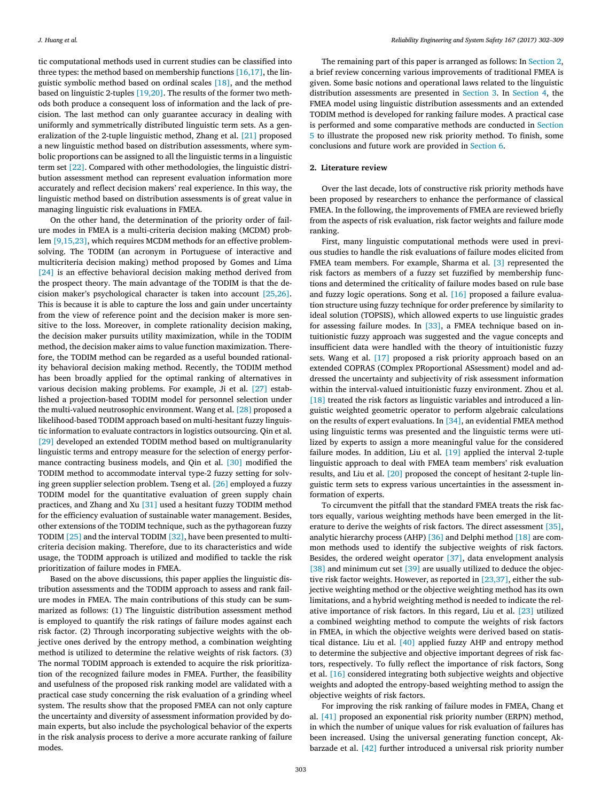tic computational methods used in current studies can be classified into three types: the method based on membership functions  $[16,17]$ , the linguistic symbolic method based on ordinal scales [\[18\],](#page-7-0) and the method based on linguistic 2-tuples [\[19,20\].](#page-7-0) The results of the former two methods both produce a consequent loss of information and the lack of precision. The last method can only guarantee accuracy in dealing with uniformly and symmetrically distributed linguistic term sets. As a generalization of the 2-tuple linguistic method, Zhang et al. [\[21\]](#page-7-0) proposed a new linguistic method based on distribution assessments, where symbolic proportions can be assigned to all the linguistic terms in a linguistic term set [\[22\].](#page-7-0) Compared with other methodologies, the linguistic distribution assessment method can represent evaluation information more accurately and reflect decision makers' real experience. In this way, the linguistic method based on distribution assessments is of great value in managing linguistic risk evaluations in FMEA.

On the other hand, the determination of the priority order of failure modes in FMEA is a multi-criteria decision making (MCDM) problem [\[9,15,23\],](#page-7-0) which requires MCDM methods for an effective problemsolving. The TODIM (an acronym in Portuguese of interactive and multicriteria decision making) method proposed by Gomes and Lima [\[24\]](#page-7-0) is an effective behavioral decision making method derived from the prospect theory. The main advantage of the TODIM is that the decision maker's psychological character is taken into account [\[25,26\].](#page-7-0) This is because it is able to capture the loss and gain under uncertainty from the view of reference point and the decision maker is more sensitive to the loss. Moreover, in complete rationality decision making, the decision maker pursuits utility maximization, while in the TODIM method, the decision maker aims to value function maximization. Therefore, the TODIM method can be regarded as a useful bounded rationality behavioral decision making method. Recently, the TODIM method has been broadly applied for the optimal ranking of alternatives in various decision making problems. For example, Ji et al. [\[27\]](#page-7-0) established a projection-based TODIM model for personnel selection under the multi-valued neutrosophic environment. Wang et al. [\[28\]](#page-7-0) proposed a likelihood-based TODIM approach based on multi-hesitant fuzzy linguistic information to evaluate contractors in logistics outsourcing. Qin et al. [\[29\]](#page-7-0) developed an extended TODIM method based on multigranularity linguistic terms and entropy measure for the selection of energy performance contracting business models, and Qin et al. [\[30\]](#page-7-0) modified the TODIM method to accommodate interval type-2 fuzzy setting for solving green supplier selection problem. Tseng et al. [\[26\]](#page-7-0) employed a fuzzy TODIM model for the quantitative evaluation of green supply chain practices, and Zhang and Xu [\[31\]](#page-7-0) used a hesitant fuzzy TODIM method for the efficiency evaluation of sustainable water management. Besides, other extensions of the TODIM technique, such as the pythagorean fuzzy TODIM [\[25\]](#page-7-0) and the interval TODIM [\[32\],](#page-7-0) have been presented to multicriteria decision making. Therefore, due to its characteristics and wide usage, the TODIM approach is utilized and modified to tackle the risk prioritization of failure modes in FMEA.

Based on the above discussions, this paper applies the linguistic distribution assessments and the TODIM approach to assess and rank failure modes in FMEA. The main contributions of this study can be summarized as follows: (1) The linguistic distribution assessment method is employed to quantify the risk ratings of failure modes against each risk factor. (2) Through incorporating subjective weights with the objective ones derived by the entropy method, a combination weighting method is utilized to determine the relative weights of risk factors. (3) The normal TODIM approach is extended to acquire the risk prioritization of the recognized failure modes in FMEA. Further, the feasibility and usefulness of the proposed risk ranking model are validated with a practical case study concerning the risk evaluation of a grinding wheel system. The results show that the proposed FMEA can not only capture the uncertainty and diversity of assessment information provided by domain experts, but also include the psychological behavior of the experts in the risk analysis process to derive a more accurate ranking of failure modes.

The remaining part of this paper is arranged as follows: In Section 2, a brief review concerning various improvements of traditional FMEA is given. Some basic notions and operational laws related to the linguistic distribution assessments are presented in [Section](#page-2-0) 3. In [Section](#page-3-0) 4, the FMEA model using linguistic distribution assessments and an extended TODIM method is developed for ranking failure modes. A practical case is performed and some [comparative](#page-4-0) methods are conducted in Section 5 to illustrate the proposed new risk priority method. To finish, some conclusions and future work are provided in [Section](#page-6-0) 6.

#### **2. Literature review**

Over the last decade, lots of constructive risk priority methods have been proposed by researchers to enhance the performance of classical FMEA. In the following, the improvements of FMEA are reviewed briefly from the aspects of risk evaluation, risk factor weights and failure mode ranking.

First, many linguistic computational methods were used in previous studies to handle the risk evaluations of failure modes elicited from FMEA team members. For example, Sharma et al. [\[3\]](#page-7-0) represented the risk factors as members of a fuzzy set fuzzified by membership functions and determined the criticality of failure modes based on rule base and fuzzy logic operations. Song et al. [\[16\]](#page-7-0) proposed a failure evaluation structure using fuzzy technique for order preference by similarity to ideal solution (TOPSIS), which allowed experts to use linguistic grades for assessing failure modes. In [\[33\],](#page-7-0) a FMEA technique based on intuitionistic fuzzy approach was suggested and the vague concepts and insufficient data were handled with the theory of intuitionistic fuzzy sets. Wang et al. [\[17\]](#page-7-0) proposed a risk priority approach based on an extended COPRAS (COmplex PRoportional ASsessment) model and addressed the uncertainty and subjectivity of risk assessment information within the interval-valued intuitionistic fuzzy environment. Zhou et al. [\[18\]](#page-7-0) treated the risk factors as linguistic variables and introduced a linguistic weighted geometric operator to perform algebraic calculations on the results of expert evaluations. In [\[34\],](#page-7-0) an evidential FMEA method using linguistic terms was presented and the linguistic terms were utilized by experts to assign a more meaningful value for the considered failure modes. In addition, Liu et al. [\[19\]](#page-7-0) applied the interval 2-tuple linguistic approach to deal with FMEA team members' risk evaluation results, and Liu et al. [\[20\]](#page-7-0) proposed the concept of hesitant 2-tuple linguistic term sets to express various uncertainties in the assessment information of experts.

To circumvent the pitfall that the standard FMEA treats the risk factors equally, various weighting methods have been emerged in the literature to derive the weights of risk factors. The direct assessment [\[35\],](#page-7-0) analytic hierarchy process (AHP) [\[36\]](#page-7-0) and Delphi method [\[18\]](#page-7-0) are common methods used to identify the subjective weights of risk factors. Besides, the ordered weight operator [\[37\],](#page-7-0) data envelopment analysis [\[38\]](#page-7-0) and minimum cut set [\[39\]](#page-7-0) are usually utilized to deduce the objective risk factor weights. However, as reported in  $[23,37]$ , either the subjective weighting method or the objective weighting method has its own limitations, and a hybrid weighting method is needed to indicate the relative importance of risk factors. In this regard, Liu et al. [\[23\]](#page-7-0) utilized a combined weighting method to compute the weights of risk factors in FMEA, in which the objective weights were derived based on statistical distance. Liu et al. [\[40\]](#page-7-0) applied fuzzy AHP and entropy method to determine the subjective and objective important degrees of risk factors, respectively. To fully reflect the importance of risk factors, Song et al. [\[16\]](#page-7-0) considered integrating both subjective weights and objective weights and adopted the entropy-based weighting method to assign the objective weights of risk factors.

For improving the risk ranking of failure modes in FMEA, Chang et al. [\[41\]](#page-7-0) proposed an exponential risk priority number (ERPN) method, in which the number of unique values for risk evaluation of failures has been increased. Using the universal generating function concept, Akbarzade et al. [\[42\]](#page-7-0) further introduced a universal risk priority number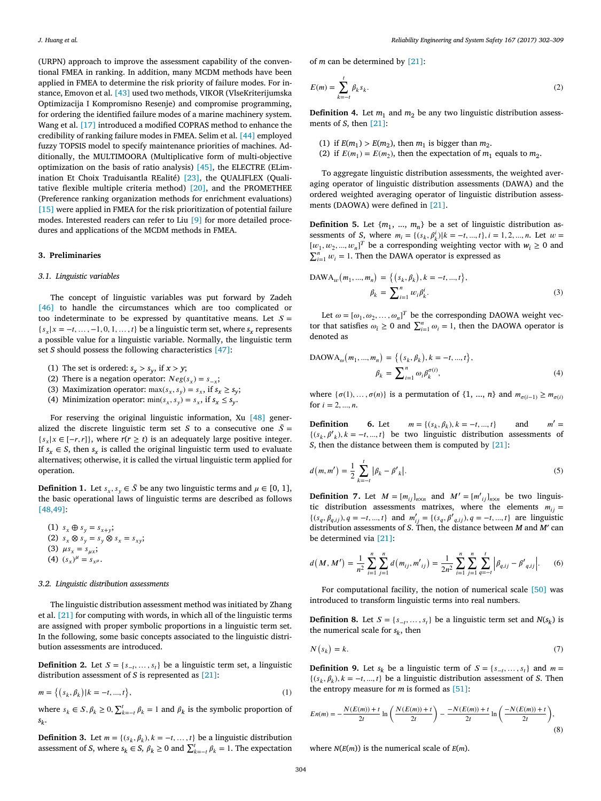<span id="page-2-0"></span>(URPN) approach to improve the assessment capability of the conventional FMEA in ranking. In addition, many MCDM methods have been applied in FMEA to determine the risk priority of failure modes. For instance, Emovon et al. [\[43\]](#page-7-0) used two methods, VIKOR (VlseKriterijumska Optimizacija I Kompromisno Resenje) and compromise programming, for ordering the identified failure modes of a marine machinery system. Wang et al. [\[17\]](#page-7-0) introduced a modified COPRAS method to enhance the credibility of ranking failure modes in FMEA. Selim et al. [\[44\]](#page-7-0) employed fuzzy TOPSIS model to specify maintenance priorities of machines. Additionally, the MULTIMOORA (Multiplicative form of multi-objective optimization on the basis of ratio analysis) [\[45\],](#page-7-0) the ELECTRE (ELimination Et Choix Traduisantla REalité) [\[23\],](#page-7-0) the QUALIFLEX (Qualitative flexible multiple criteria method) [\[20\],](#page-7-0) and the PROMETHEE (Preference ranking organization methods for enrichment evaluations) [\[15\]](#page-7-0) were applied in FMEA for the risk prioritization of potential failure modes. Interested readers can refer to Liu [\[9\]](#page-7-0) for more detailed procedures and applications of the MCDM methods in FMEA.

#### **3. Preliminaries**

#### *3.1. Linguistic variables*

The concept of linguistic variables was put forward by Zadeh [\[46\]](#page-7-0) to handle the circumstances which are too complicated or too indeterminate to be expressed by quantitative means. Let  $S =$  ${s_x | x = -t, ..., -1, 0, 1, ..., t}$  be a linguistic term set, where  ${s_x}$  represents a possible value for a linguistic variable. Normally, the linguistic term set *S* should possess the following characteristics [\[47\]:](#page-7-0)

- (1) The set is ordered:  $s_x > s_y$ , if  $x > y$ ;
- (2) There is a negation operator:  $Neg(s_x) = s_{-x}$ ;
- (3) Maximization operator:  $\max(s_x, s_y) = s_x$ , if  $s_x \geq s_y$ ;
- (4) Minimization operator:  $\min(s_x, s_y) = s_x$ , if  $s_x \leq s_y$ .

For reserving the original linguistic information, Xu [\[48\]](#page-7-0) generalized the discrete linguistic term set *S* to a consecutive one  $\overline{S}$  =  ${s_x | x \in [-r, r]}$ , where  $r(r \ge t)$  is an adequately large positive integer. If  $s_x \in S$ , then  $s_x$  is called the original linguistic term used to evaluate alternatives; otherwise, it is called the virtual linguistic term applied for operation.

**Definition 1.** Let  $s_r, s_u \in \overline{S}$  be any two linguistic terms and  $\mu \in [0, 1]$ , the basic operational laws of linguistic terms are described as follows [\[48,49\]:](#page-7-0)

(1) 
$$
s_x \oplus s_y = s_{x+y}
$$
;  
\n(2)  $s_x \otimes s_y = s_y \otimes s_x = s_{xy}$ ;  
\n(3)  $\mu s_x = s_{\mu x}$ ;  
\n(4)  $(s_x)^{\mu} = s_{x^{\mu}}$ .

#### *3.2. Linguistic distribution assessments*

The linguistic distribution assessment method was initiated by Zhang et al. [\[21\]](#page-7-0) for computing with words, in which all of the linguistic terms are assigned with proper symbolic proportions in a linguistic term set. In the following, some basic concepts associated to the linguistic distribution assessments are introduced.

**Definition 2.** Let  $S = \{s_{-t}, \ldots, s_t\}$  be a linguistic term set, a linguistic distribution assessment of *S* is represented as [\[21\]:](#page-7-0)

$$
m = \{(s_k, \beta_k) | k = -t, ..., t\},\tag{1}
$$

where  $s_k \in S$ ,  $\beta_k \ge 0$ ,  $\sum_{k=-l}^{t} \beta_k = 1$  and  $\beta_k$  is the symbolic proportion of *sk*.

**Definition 3.** Let  $m = \{(s_k, \beta_k), k = -t, \dots, t\}$  be a linguistic distribution assessment of *S*, where  $s_k \in S$ ,  $\beta_k \ge 0$  and  $\sum_{k=-i}^{t} \beta_k = 1$ . The expectation

of *m* can be determined by [\[21\]:](#page-7-0)

$$
E(m) = \sum_{k=-t}^{t} \beta_k s_k.
$$
 (2)

**Definition 4.** Let  $m_1$  and  $m_2$  be any two linguistic distribution assessments of *S*, then [\[21\]:](#page-7-0)

- (1) if  $E(m_1) > E(m_2)$ , then  $m_1$  is bigger than  $m_2$ .
- (2) if  $E(m_1) = E(m_2)$ , then the expectation of  $m_1$  equals to  $m_2$ .

To aggregate linguistic distribution assessments, the weighted averaging operator of linguistic distribution assessments (DAWA) and the ordered weighted averaging operator of linguistic distribution assessments (DAOWA) were defined in [\[21\].](#page-7-0)

**Definition 5.** Let  $\{m_1, ..., m_n\}$  be a set of linguistic distribution assessments of *S*, where  $m_i = \{(s_k, \beta_k^i) | k = -t, ..., t\}, i = 1, 2, ..., n$ . Let  $w =$  $[w_1, w_2, ..., w_n]^T$  be a corresponding weighting vector with  $w_i \ge 0$  and  $\sum_{i=1}^{n} w_i = 1$ . Then the DAWA operator is expressed as

$$
DAWA_w(m_1, ..., m_n) = \{(s_k, \beta_k), k = -t, ..., t\},
$$
  

$$
\beta_k = \sum_{i=1}^n w_i \beta_k^i.
$$
 (3)

Let  $\omega = [\omega_1, \omega_2, \dots, \omega_n]^T$  be the corresponding DAOWA weight vector that satisfies  $\omega_i \geq 0$  and  $\sum_{i=1}^n \omega_i = 1$ , then the DAOWA operator is denoted as

$$
DAOWA_{\omega}(m_1, ..., m_n) = \{ (s_k, \beta_k), k = -t, ..., t \},
$$
  

$$
\beta_k = \sum_{i=1}^n \omega_i \beta_k^{\sigma(i)},
$$
 (4)

where  $\{\sigma(1), \ldots, \sigma(n)\}\$ is a permutation of  $\{1, \ldots, n\}$  and  $m_{\sigma(i-1)} \geq m_{\sigma(i)}$ for  $i = 2, ..., n$ .

**Definition 6.** Let  $m = \{(s_k, \beta_k), k = -t, ..., t\}$  and  $m' =$  ${(s_k, \beta'_{k}), k = -t, ..., t}$  be two linguistic distribution assessments of *S*, then the distance between them is computed by [\[21\]:](#page-7-0)

$$
d(m, m') = \frac{1}{2} \sum_{k=-i}^{t} |\beta_k - {\beta'}_k|.
$$
 (5)

**Definition 7.** Let  $M = [m_{ij}]_{n \times n}$  and  $M' = [m'_{ij}]_{n \times n}$  be two linguistic distribution assessments matrixes, where the elements  $m_{ij} =$  ${(s_q, \beta_{q,ij}), q = -t, ..., t}$  and  $m'_{ij} = {(s_q, \beta'_{q,ij}), q = -t, ..., t}$  are linguistic distribution assessments of *S*. Then, the distance between *M* and *M*′ can be determined via [\[21\]:](#page-7-0)

$$
d(M, M') = \frac{1}{n^2} \sum_{i=1}^{n} \sum_{j=1}^{n} d(m_{ij}, m'_{ij}) = \frac{1}{2n^2} \sum_{i=1}^{n} \sum_{j=1}^{n} \sum_{q=-i}^{t} \left| \beta_{q,ij} - \beta'_{q,ij} \right|.
$$
 (6)

For computational facility, the notion of numerical scale [\[50\]](#page-7-0) was introduced to transform linguistic terms into real numbers.

**Definition 8.** Let  $S = \{s_{-t}, \ldots, s_t\}$  be a linguistic term set and  $N(s_k)$  is the numerical scale for  $s_k$ , then

$$
N(s_k) = k.\t\t(7)
$$

**Definition 9.** Let  $s_k$  be a linguistic term of  $S = \{s_{-t}, \ldots, s_t\}$  and  $m =$  $\{(s_k, \beta_k), k = -t, ..., t\}$  be a linguistic distribution assessment of *S*. Then the entropy measure for *m* is formed as [\[51\]:](#page-7-0)

$$
En(m) = -\frac{N(E(m)) + t}{2t} \ln \left( \frac{N(E(m)) + t}{2t} \right) - \frac{-N(E(m)) + t}{2t} \ln \left( \frac{-N(E(m)) + t}{2t} \right),\tag{8}
$$

where  $N(E(m))$  is the numerical scale of  $E(m)$ .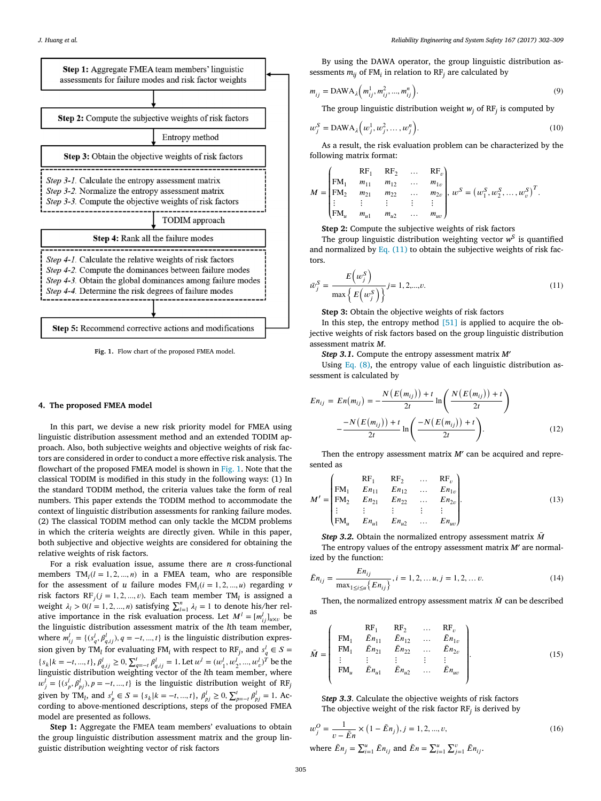<span id="page-3-0"></span>

**Fig. 1.** Flow chart of the proposed FMEA model.

### **4. The proposed FMEA model**

In this part, we devise a new risk priority model for FMEA using linguistic distribution assessment method and an extended TODIM approach. Also, both subjective weights and objective weights of risk factors are considered in order to conduct a more effective risk analysis. The flowchart of the proposed FMEA model is shown in Fig. 1. Note that the classical TODIM is modified in this study in the following ways: (1) In the standard TODIM method, the criteria values take the form of real numbers. This paper extends the TODIM method to accommodate the context of linguistic distribution assessments for ranking failure modes. (2) The classical TODIM method can only tackle the MCDM problems in which the criteria weights are directly given. While in this paper, both subjective and objective weights are considered for obtaining the relative weights of risk factors.

For a risk evaluation issue, assume there are *n* cross-functional members  $TM_l(l = 1, 2, ..., n)$  in a FMEA team, who are responsible for the assessment of *u* failure modes  $FM<sub>i</sub>(i = 1, 2, ..., u)$  regarding *v* risk factors  $RF_j$  ( $j = 1, 2, ..., v$ ). Each team member TM<sub>l</sub> is assigned a weight  $\lambda_l > 0$  ( $l = 1, 2, ..., n$ ) satisfying  $\sum_{l=1}^{n} \lambda_l = 1$  to denote his/her relative importance in the risk evaluation process. Let  $M^l = [m_{ij}^l]_{u \times v}$  be the linguistic distribution assessment matrix of the *l*th team member, where  $m_{ij}^l = \{(s_q^l, \beta_{q,ij}^l), q = -t, ..., t\}$  is the linguistic distribution expression given by TM<sub>l</sub> for evaluating FM<sub>i</sub> with respect to RF<sub>j</sub>, and  $s_q^l \in S$  =  ${s_k | k = -t, ..., t}$ ,  $\beta_{q,ij}^l \ge 0$ ,  $\sum_{q=-t}^t \beta_{q,ij}^l = 1$ . Let  $w^l = (w_1^l, w_2^l, ..., w_v^l)^T$  be the linguistic distribution weighting vector of the *l*th team member, where  $w_j^l = \{(s_p^l, \beta_{pj}^l), p = -t, ..., t\}$  is the linguistic distribution weight of RF<sub>*j*</sub> given by TM<sub>l</sub>, and  $s_p^l \in S = \{s_k | k = -t, ..., t\}$ ,  $\beta_{pj}^l \ge 0$ ,  $\sum_{p=-t}^t \beta_{pj}^l = 1$ . According to above-mentioned descriptions, steps of the proposed FMEA model are presented as follows.

**Step 1:** Aggregate the FMEA team members' evaluations to obtain the group linguistic distribution assessment matrix and the group linguistic distribution weighting vector of risk factors

By using the DAWA operator, the group linguistic distribution assessments  $m_{ii}$  of FM<sub>i</sub> in relation to RF<sub>i</sub> are calculated by

$$
m_{ij} = \text{DAWA}_{\lambda}\left(m_{ij}^1, m_{ij}^2, ..., m_{ij}^n\right). \tag{9}
$$

The group linguistic distribution weight  $w_i$  of RF<sub>j</sub> is computed by

$$
w_j^S = \text{DAWA}_\lambda\Big(w_j^1, w_j^2, \dots, w_j^n\Big). \tag{10}
$$

As a result, the risk evaluation problem can be characterized by the following matrix format:

$$
M = \begin{pmatrix} RF_1 & RF_2 & \dots & RF_v \\ FM_1 & m_{11} & m_{12} & \dots & m_{1v} \\ FM_2 & m_{21} & m_{22} & \dots & m_{2v} \\ \vdots & \vdots & \vdots & \vdots & \vdots \\ FM_u & m_{u1} & m_{u2} & \dots & m_{uv} \end{pmatrix}, w^S = (w_1^S, w_2^S, \dots, w_v^S)^T.
$$

**Step 2:** Compute the subjective weights of risk factors

The group linguistic distribution weighting vector  $w^S$  is quantified and normalized by Eq.  $(11)$  to obtain the subjective weights of risk factors.

$$
\bar{w}_j^S = \frac{E\left(w_j^S\right)}{\max\left\{E\left(w_j^S\right)\right\}} j = 1, 2, \dots, \nu. \tag{11}
$$

**Step 3:** Obtain the objective weights of risk factors

In this step, the entropy method  $[51]$  is applied to acquire the objective weights of risk factors based on the group linguistic distribution assessment matrix *M*.

*Step 3.1.* Compute the entropy assessment matrix *M*′

Using Eq.  $(8)$ , the entropy value of each linguistic distribution assessment is calculated by

$$
En_{ij} = En(m_{ij}) = -\frac{N(E(m_{ij})) + t}{2t} \ln\left(\frac{N(E(m_{ij})) + t}{2t}\right)
$$

$$
-\frac{-N(E(m_{ij})) + t}{2t} \ln\left(\frac{-N(E(m_{ij})) + t}{2t}\right).
$$
(12)

Then the entropy assessment matrix *M'* can be acquired and represented as

$$
M' = \begin{pmatrix} RF_1 & RF_2 & \dots & RF_v \\ FM_1 & En_{11} & En_{12} & \dots & En_{1v} \\ FM_2 & En_{21} & En_{22} & \dots & En_{2v} \\ \vdots & \vdots & \vdots & \vdots & \vdots \\ FM_u & En_{u1} & En_{u2} & \dots & En_{uv} \end{pmatrix}.
$$
 (13)

*Step* 3.2. Obtain the normalized entropy assessment matrix  $\bar{M}$ 

The entropy values of the entropy assessment matrix *M*′ are normalized by the function:

$$
\bar{E}n_{ij} = \frac{E n_{ij}}{\max_{1 \le i \le u} \{E n_{ij}\}}, i = 1, 2, ..., u, j = 1, 2, ..., v.
$$
\n(14)

Then, the normalized entropy assessment matrix  $\overline{M}$  can be described as

$$
\bar{M} = \begin{pmatrix}\nRR_1 & RF_2 & \dots & RF_v \\
FM_1 & \bar{E}n_{11} & \bar{E}n_{12} & \dots & \bar{E}n_{1v} \\
FM_1 & \bar{E}n_{21} & \bar{E}n_{22} & \dots & \bar{E}n_{2v} \\
\vdots & \vdots & \vdots & \vdots & \vdots \\
FM_u & \bar{E}n_{u1} & \bar{E}n_{u2} & \dots & \bar{E}n_{uv}\n\end{pmatrix}.
$$
\n(15)

S*tep 3.3*. Calculate the objective weights of risk factors The objective weight of the risk factor RF*<sup>j</sup>* is derived by

$$
w_j^O = \frac{1}{v - \tilde{E}n} \times (1 - \tilde{E}n_j), j = 1, 2, ..., \nu,
$$
  
where  $\tilde{E}n_j = \sum_{i=1}^u \tilde{E}n_{ij}$  and  $\tilde{E}n = \sum_{i=1}^u \sum_{j=1}^v \tilde{E}n_{ij}.$  (16)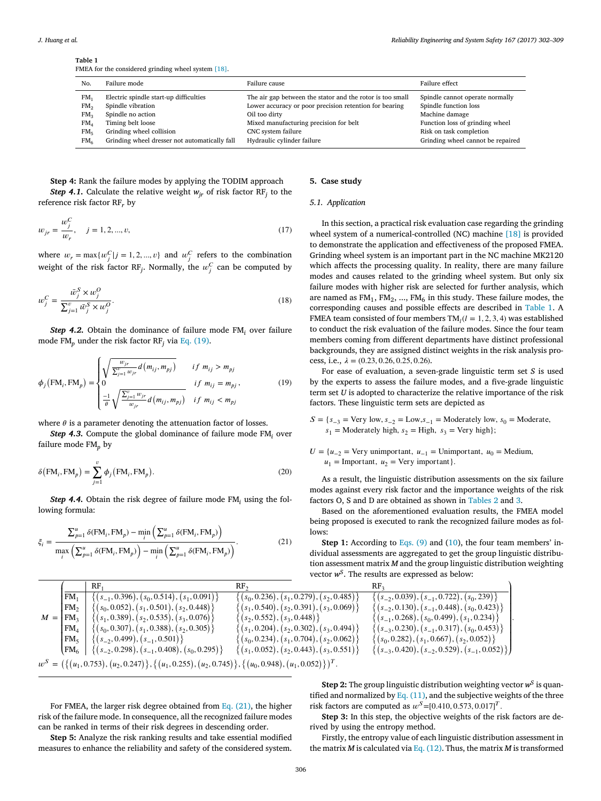<span id="page-4-0"></span>**Table 1**

FMEA for the considered grinding wheel system [\[18\].](#page-7-0)

| N <sub>O</sub>  | Failure mode                                  | Failure cause                                             | Failure effect                    |
|-----------------|-----------------------------------------------|-----------------------------------------------------------|-----------------------------------|
| FM <sub>1</sub> | Electric spindle start-up difficulties        | The air gap between the stator and the rotor is too small | Spindle cannot operate normally   |
| FM <sub>2</sub> | Spindle vibration                             | Lower accuracy or poor precision retention for bearing    | Spindle function loss             |
| FM <sub>3</sub> | Spindle no action                             | Oil too dirty                                             | Machine damage                    |
| FM <sub>A</sub> | Timing belt loose                             | Mixed manufacturing precision for belt                    | Function loss of grinding wheel   |
| FM <sub>5</sub> | Grinding wheel collision                      | CNC system failure                                        | Risk on task completion           |
| FM <sub>6</sub> | Grinding wheel dresser not automatically fall | Hydraulic cylinder failure                                | Grinding wheel cannot be repaired |

**Step 4:** Rank the failure modes by applying the TODIM approach *Step* 4.1. Calculate the relative weight  $w_{ir}$  of risk factor  $RF_i$  to the reference risk factor RF*<sup>r</sup>* by

$$
w_{jr} = \frac{w_j^C}{w_r}, \quad j = 1, 2, ..., v,
$$
\n(17)

where  $w_r = \max\{w_j^C | j = 1, 2, ..., v\}$  and  $w_j^C$  refers to the combination weight of the risk factor RF<sub>j</sub>. Normally, the  $w_j^C$  can be computed by

$$
w_j^C = \frac{\bar{w}_j^S \times w_j^O}{\sum_{j=1}^v \bar{w}_j^S \times w_j^O}.
$$
\n(18)

*Step 4.2.* Obtain the dominance of failure mode FM*<sup>i</sup>* over failure mode FM<sub>p</sub> under the risk factor RF<sub>j</sub> via Eq. (19).

$$
\phi_j\left(\text{FM}_i, \text{FM}_p\right) = \begin{cases} \sqrt{\frac{w_{jr}}{\sum_{j=1}^v w_{jr}} d(m_{ij}, m_{pj})} & \text{if } m_{ij} > m_{pj} \\ 0 & \text{if } m_{ij} = m_{pj}, \\ \frac{-1}{\theta} \sqrt{\frac{\sum_{j=1}^v w_{jr}}{w_{jr}} d(m_{ij}, m_{pj})} & \text{if } m_{ij} < m_{pj} \end{cases} \tag{19}
$$

where  $\theta$  is a parameter denoting the attenuation factor of losses.

*Step 4.3.* Compute the global dominance of failure mode FM*<sup>i</sup>* over failure mode FM<sub>p</sub> by

$$
\delta\big(\text{FM}_i, \text{FM}_p\big) = \sum_{j=1}^{\nu} \phi_j\big(\text{FM}_i, \text{FM}_p\big). \tag{20}
$$

*Step 4.4.* Obtain the risk degree of failure mode FM*<sup>i</sup>* using the following formula:

$$
\xi_i = \frac{\sum_{p=1}^{u} \delta(\text{FM}_i, \text{FM}_p) - \min_i \left( \sum_{p=1}^{u} \delta(\text{FM}_i, \text{FM}_p) \right)}{\max_i \left( \sum_{p=1}^{u} \delta(\text{FM}_i, \text{FM}_p) \right) - \min_i \left( \sum_{p=1}^{u} \delta(\text{FM}_i, \text{FM}_p) \right)}.
$$
\n(21)

## **5. Case study**

## *5.1. Application*

In this section, a practical risk evaluation case regarding the grinding wheel system of a numerical-controlled (NC) machine [\[18\]](#page-7-0) is provided to demonstrate the application and effectiveness of the proposed FMEA. Grinding wheel system is an important part in the NC machine MK2120 which affects the processing quality. In reality, there are many failure modes and causes related to the grinding wheel system. But only six failure modes with higher risk are selected for further analysis, which are named as  $FM<sub>1</sub>$ ,  $FM<sub>2</sub>$ , ...,  $FM<sub>6</sub>$  in this study. These failure modes, the corresponding causes and possible effects are described in Table 1. A FMEA team consisted of four members  $TM<sub>l</sub>(l = 1, 2, 3, 4)$  was established to conduct the risk evaluation of the failure modes. Since the four team members coming from different departments have distinct professional backgrounds, they are assigned distinct weights in the risk analysis process, i.e.,  $\lambda = (0.23, 0.26, 0.25, 0.26)$ .

For ease of evaluation, a seven-grade linguistic term set *S* is used by the experts to assess the failure modes, and a five-grade linguistic term set *U* is adopted to characterize the relative importance of the risk factors. These linguistic term sets are depicted as

 $S = \{s_{-3} = \text{Very low}, s_{-2} = \text{Low}, s_{-1} = \text{Modernately low}, s_0 = \text{Modern} \}$  $s_1$  = Moderately high,  $s_2$  = High,  $s_3$  = Very high};

 $U = \{u_{-2} = \text{Very unimportant}, u_{-1} = \text{Unimportant}, u_0 = \text{Median}, \}$  $u_1$  = Important,  $u_2$  = Very important}.

As a result, the linguistic distribution assessments on the six failure modes against every risk factor and the importance weights of the risk factors O, S and D are obtained as shown in [Tables](#page-5-0) 2 and [3.](#page-5-0)

Based on the aforementioned evaluation results, the FMEA model being proposed is executed to rank the recognized failure modes as follows:

**Step 1:** According to [Eqs.](#page-3-0) (9) and [\(10\)](#page-3-0), the four team members' individual assessments are aggregated to get the group linguistic distribution assessment matrix *M* and the group linguistic distribution weighting vector *wS*. The results are expressed as below:

*.*

|       |                 | RF <sub>1</sub>                                                                                             | RF٬                                             | RF،                                                      |
|-------|-----------------|-------------------------------------------------------------------------------------------------------------|-------------------------------------------------|----------------------------------------------------------|
|       | FM <sub>1</sub> | $(s_{-1}, 0.396), (s_0, 0.514), (s_1, 0.091)$                                                               | $(s_0, 0.236), (s_1, 0.279), (s_2, 0.485)$      | $\{(s_{-2}, 0.039), (s_{-1}, 0.722), (s_0, 239)\}$       |
|       | FM <sub>2</sub> | $(s_0, 0.052), (s_1, 0.501), (s_2, 0.448)$                                                                  | $\{(s_1, 0.540), (s_2, 0.391), (s_3, 0.069)\}$  | $\{(s_{-2}, 0.130), (s_{-1}, 0.448), (s_0, 0.423)\}\$    |
| $M =$ | HM <sub>2</sub> | $\{(s_1, 0.389), (s_2, 0.535), (s_3, 0.076)\}\$                                                             | $(s_2, 0.552), (s_3, 0.448)$                    | $(s_{-1}, 0.268), (s_0, 0.499), (s_1, 0.234)$            |
|       | FM <sub>4</sub> | $(s_0, 0.307), (s_1, 0.388), (s_2, 0.305)$                                                                  | $\{(s_1, 0.204), (s_2, 0.302), (s_3, 0.494)\}\$ | $(s_{-3}, 0.230), (s_{-1}, 0.317), (s_0, 0.453)$         |
|       | FM <sub>5</sub> | $(s_{-2}, 0.499), (s_{-1}, 0.501)$                                                                          | $(s_0, 0.234), (s_1, 0.704), (s_2, 0.062)$      | $\{(s_0, 0.282), (s_1, 0.667), (s_2, 0.052)\}$           |
|       | $FM_{6}$        | $\{(s_{-2}, 0.298), (s_{-1}, 0.408), (s_0, 0.295)\}\$                                                       | $(s_1, 0.052), (s_2, 0.443), (s_3, 0.551)$      | $\{(s_{-3}, 0.420), (s_{-2}, 0.529), (s_{-1}, 0.052)\}\$ |
|       |                 | $w^S = (\{(u_1, 0.753), (u_2, 0.247)\}, \{(u_1, 0.255), (u_2, 0.745)\}, \{(u_0, 0.948), (u_1, 0.052)\})^T.$ |                                                 |                                                          |

For FMEA, the larger risk degree obtained from Eq. (21), the higher risk of the failure mode. In consequence, all the recognized failure modes can be ranked in terms of their risk degrees in descending order.

**Step 5:** Analyze the risk ranking results and take essential modified measures to enhance the reliability and safety of the considered system.

**Step 2:** The group linguistic distribution weighting vector  $w^S$  is quantified and normalized by Eq.  $(11)$ , and the subjective weights of the three risk factors are computed as  $w^{S} = [0.410, 0.573, 0.017]^{T}$ .

**Step 3:** In this step, the objective weights of the risk factors are derived by using the entropy method.

Firstly, the entropy value of each linguistic distribution assessment in the matrix *M* is calculated via Eq. [\(12\).](#page-3-0) Thus, the matrix *M* is transformed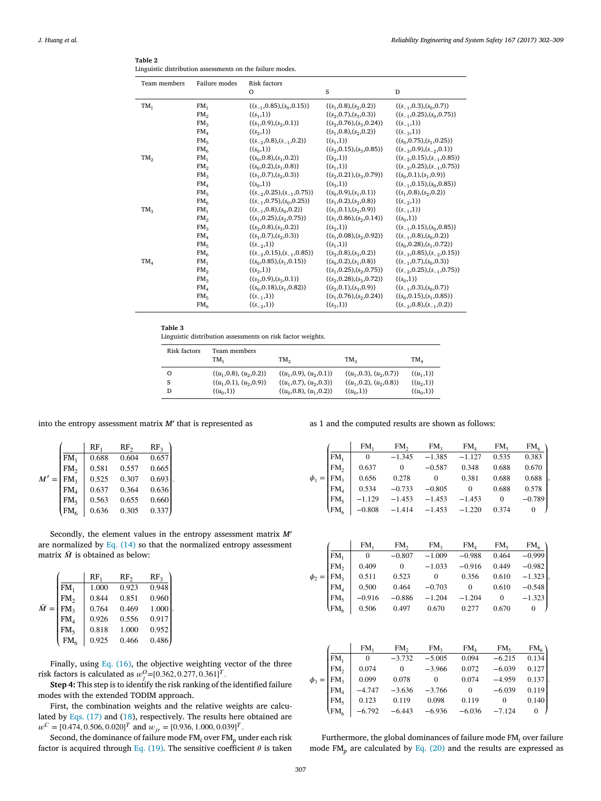<span id="page-5-0"></span>*J. Huang et al. Reliability Engineering and System Safety 167 (2017) 302–309*

| Table 2 |                                                           |  |  |
|---------|-----------------------------------------------------------|--|--|
|         | Linguistic distribution assessments on the failure modes. |  |  |

| Team members | Failure modes   | <b>Risk factors</b><br>$\circ$        | S                               | D                                     |
|--------------|-----------------|---------------------------------------|---------------------------------|---------------------------------------|
|              |                 |                                       |                                 |                                       |
| $TM_1$       | FM <sub>1</sub> | $\{(s_{-1}, 0.85), (s_0, 0.15)\}\$    | $\{(s_1, 0.8), (s_2, 0.2)\}\$   | $\{(s_{-1}, 0.3), (s_0, 0.7)\}\$      |
|              | FM <sub>2</sub> | $\{(s_1,1)\}\$                        | $\{(s_2, 0.7), (s_3, 0.3)\}\$   | $\{(s_{-1}, 0.25), (s_0, 0.75)\}\$    |
|              | FM <sub>3</sub> | $\{(s_1, 0.9), (s_2, 0.1)\}\$         | $\{(s_2, 0.76), (s_3, 0.24)\}\$ | $\{(s_{-1},1)\}\$                     |
|              | FM <sub>4</sub> | $\{(s_2,1)\}\$                        | $\{(s_1, 0.8), (s_2, 0.2)\}\$   | $\{(s_{-3},1)\}\$                     |
|              | FM <sub>5</sub> | $\{(s_{-2},0.8),(s_{-1},0.2)\}\$      | $\{(s_1,1)\}\$                  | $\{(s_0, 0.75), (s_1, 0.25)\}\$       |
|              | FM <sub>6</sub> | $\{(s_0,1)\}\$                        | $\{(s_2, 0.15), (s_3, 0.85)\}\$ | $\{(s_{-3},0.9),(s_{-2},0.1)\}\$      |
| $TM_2$       | FM <sub>1</sub> | $\{(s_0, 0.8), (s_1, 0.2)\}\$         | $\{(s_2,1)\}\$                  | $\{(s_{-2},0.15),(s_{-1},0.85)\}\$    |
|              | FM <sub>2</sub> | $\{(s_0, 0.2), (s_1, 0.8)\}\$         | $\{(s_1,1)\}\$                  | $\{(s_{-2}, 0.25), (s_{-1}, 0.75)\}\$ |
|              | FM <sub>3</sub> | $\{(s_1, 0.7), (s_2, 0.3)\}\$         | $\{(s_2, 0.21), (s_3, 0.79)\}\$ | $\{(s_0, 0.1), (s_1, 0.9)\}$          |
|              | FM <sub>4</sub> | $\{(s_0,1)\}\$                        | $\{(s_3,1)\}\$                  | $\{(s_{-1}, 0.15), (s_0, 0.85)\}\$    |
|              | FM <sub>5</sub> | $\{(s_{-2}, 0.25), (s_{-1}, 0.75)\}\$ | $\{(s_0, 0.9), (s_1, 0.1)\}\$   | $\{(s_1, 0.8), (s_2, 0.2)\}\$         |
|              | FM <sub>6</sub> | $\{(s_{-1}, 0.75), (s_0, 0.25)\}\$    | $\{(s_1, 0.2), (s_2, 0.8)\}\$   | $\{(s_{-2},1)\}\$                     |
| $TM_3$       | FM <sub>1</sub> | $\{(s_{-1},0.8),(s_0,0.2)\}\$         | $\{(s_1, 0.1), (s_2, 0.9)\}$    | $\{(s_{-1},1)\}\$                     |
|              | FM <sub>2</sub> | $\{(s_1, 0.25), (s_2, 0.75)\}\$       | $\{(s_1, 0.86), (s_2, 0.14)\}\$ | $\{(s_0,1)\}\$                        |
|              | FM <sub>3</sub> | $\{(s_2, 0.8), (s_3, 0.2)\}\$         | $\{(s_2,1)\}\$                  | $\{(s_{-1},0.15),(s_0,0.85)\}\$       |
|              | FM <sub>4</sub> | $\{(s_1, 0.7), (s_2, 0.3)\}\$         | $\{(s_1, 0.08), (s_2, 0.92)\}\$ | $\{(s_{-1},0.8),(s_0,0.2)\}\$         |
|              | FM <sub>5</sub> | $\{(s_{-2},1)\}\$                     | $\{(s_1,1)\}\$                  | $\{(s_0, 0.28), (s_1, 0.72)\}\$       |
|              | FM <sub>6</sub> | $\{(s_{-2}, 0.15), (s_{-1}, 0.85)\}\$ | $\{(s_2, 0.8), (s_3, 0.2)\}\$   | ${(s_{-3}, 0.85), (s_{-2}, 0.15)}$    |
| $TM_4$       | FM <sub>1</sub> | $\{(s_0, 0.85), (s_1, 0.15)\}\$       | $\{(s_0, 0.2), (s_1, 0.8)\}\$   | $\{(s_{-1}, 0.7), (s_0, 0.3)\}\$      |
|              | FM <sub>2</sub> | $\{(s_2,1)\}\$                        | $\{(s_1, 0.25), (s_2, 0.75)\}\$ | $\{(s_{-2},0.25),(s_{-1},0.75)\}\$    |
|              | FM <sub>3</sub> | $\{(s_2, 0.9), (s_3, 0.1)\}\$         | $\{(s_2, 0.28), (s_3, 0.72)\}\$ | $\{(s_0,1)\}\$                        |
|              | FM <sub>4</sub> | $\{(s_0, 0.18), (s_1, 0.82)\}\$       | $\{(s_2, 0.1), (s_3, 0.9)\}$    | $\{(s_{-1}, 0.3), (s_0, 0.7)\}\$      |
|              | FM <sub>5</sub> | $\{(s_{-1},1)\}\$                     | $\{(s_1, 0.76), (s_2, 0.24)\}\$ | $\{(s_0, 0.15), (s_1, 0.85)\}\$       |
|              | FM <sub>6</sub> | $\{(s_{-2},1)\}\$                     | $\{(s_3,1)\}\$                  | $\{(s_{-2},0.8),(s_{-1},0.2)\}\$      |

## **Table 3**

Linguistic distribution assessments on risk factor weights.

| Risk factors | Team members<br>TM.           | TM <sub>2</sub>               | TM <sub>2</sub>               | $TM_{A}$       |
|--------------|-------------------------------|-------------------------------|-------------------------------|----------------|
| Ω            | $\{(u_1, 0.8), (u_2, 0.2)\}\$ | $\{(u_1, 0.9), (u_2, 0.1)\}\$ | $\{(u_1, 0.3), (u_2, 0.7)\}\$ | $\{(u_1,1)\}\$ |
|              | $\{(u_1, 0.1), (u_2, 0.9)\}\$ | $\{(u_1, 0.7), (u_2, 0.3)\}\$ | $\{(u_1, 0.2), (u_2, 0.8)\}\$ | $\{(u_2,1)\}\$ |
| D            | $\{(u_0,1)\}\$                | $\{(u_0, 0.8), (u_1, 0.2)\}\$ | $\{(u_0,1)\}\$                | $\{(u_0,1)\}\$ |

into the entropy assessment matrix *M*′ that is represented as

|        |                 | RF.   | RF <sub>2</sub> | RF <sub>2</sub> |
|--------|-----------------|-------|-----------------|-----------------|
|        | FM <sub>1</sub> | 0.688 | 0.604           | 0.657           |
|        | FM <sub>2</sub> | 0.581 | 0.557           | 0.665           |
| $M' =$ | FM <sub>3</sub> | 0.525 | 0.307           | 0.693           |
|        | FM <sub>4</sub> | 0.637 | 0.364           | 0.636           |
|        | FM <sub>5</sub> | 0.563 | 0.655           | 0.660           |
|        | $\rm{F}M_{6}$   | 0.636 | 0.305           | 0.337           |
|        |                 |       |                 |                 |

Secondly, the element values in the entropy assessment matrix *M*′ are normalized by Eq. [\(14\)](#page-3-0) so that the normalized entropy assessment matrix  $\overline{M}$  is obtained as below:

*.*

|                  |                   | RF,   | RF <sub>2</sub> | RF <sub>3</sub> |
|------------------|-------------------|-------|-----------------|-----------------|
|                  | $\overline{F}M_1$ | 1.000 | 0.923           | 0.948           |
|                  | FM <sub>2</sub>   | 0.844 | 0.851           | 0.960           |
| $\overline{M} =$ | FM <sub>3</sub>   | 0.764 | 0.469           | 1.000           |
|                  | FM <sub>4</sub>   | 0.926 | 0.556           | 0.917           |
|                  | FM <sub>5</sub>   | 0.818 | 1.000           | 0.952           |
|                  | FM <sub>6</sub>   | 0.925 | 0.466           | 0.486           |
|                  |                   |       |                 |                 |

Finally, using Eq. [\(16\),](#page-3-0) the objective weighting vector of the three risk factors is calculated as  $w_j^0 = [0.362, 0.277, 0.361]^T$ .

**Step 4:** This step is to identify the risk ranking of the identified failure modes with the extended TODIM approach.

First, the combination weights and the relative weights are calculated by Eqs. [\(17\)](#page-4-0) and [\(18\)](#page-4-0), respectively. The results here obtained are  $w^C = [0.474, 0.506, 0.020]^T$  and  $w_{jr} = [0.936, 1.000, 0.039]^T$ .

Second, the dominance of failure mode FM*<sup>i</sup>* over FM*<sup>p</sup>* under each risk factor is acquired through Eq. [\(19\).](#page-4-0) The sensitive coefficient  $\theta$  is taken as 1 and the computed results are shown as follows:

|                                                       | FM <sub>1</sub>                                             | FM <sub>2</sub> | FM <sub>3</sub> | $FM_{4}$   | $FM_{5}$ | FM <sub>6</sub> |
|-------------------------------------------------------|-------------------------------------------------------------|-----------------|-----------------|------------|----------|-----------------|
|                                                       | $\begin{vmatrix} 0 & -1.345 \end{vmatrix}$                  |                 | $-1.385 -1.127$ |            | 0.535    | 0.383           |
| $\sqrt{\frac{FM_1}{FM_2}}$                            | 0.637                                                       | $\sim 0$        | $-0.587$        | 0.348      | 0.688    | 0.670           |
| $\phi_1 = \begin{bmatrix} FM_3 \\ FM_4 \end{bmatrix}$ | 0.656                                                       | 0.278           |                 | 0 0.381    | 0.688    | 0.688           |
|                                                       | 10.534                                                      | $-0.733$        |                 | $-0.805$ 0 | 0.688    | 0.578           |
| $\begin{bmatrix} FM_5\\ FM_6\end{bmatrix}$            | $-1.129$                                                    | $-1.453$        | $-1.453$        | $-1.453$   | $\sim$ 0 | $-0.789$        |
|                                                       | $\vert -0.808 \vert -1.414 \vert -1.453 \vert -1.220 \vert$ |                 |                 |            | 0.374    |                 |

|                        | FM.          | FM <sub>2</sub> | FM <sub>2</sub> | FM <sub>4</sub> | FM <sub>5</sub> | FM <sub>6</sub> |
|------------------------|--------------|-----------------|-----------------|-----------------|-----------------|-----------------|
| FM <sub>1</sub>        | $\mathbf{0}$ | $-0.807$        | $-1.009$        | $-0.988$        | 0.464           | $-0.999$        |
| FM <sub>2</sub>        | 0.409        | 0               | $-1.033$        | $-0.916$        | 0.449           | $-0.982$        |
| $\phi_2 = \text{FM}_3$ | 0.511        | 0.523           | $\Omega$        | 0.356           | 0.610           | $-1.323$        |
| $\mathbf{FM}_{4}$      | 0.500        | 0.464           | $-0.703$        | $\mathbf{0}$    | 0.610           | $-0.548$        |
| FM <sub>5</sub>        | $-0.916$     | $-0.886$        | $-1.204$        | $-1.204$        | $\theta$        | $-1.323$        |
| VFM <sub>6</sub>       | 0.506        | 0.497           | 0.670           | 0.277           | 0.670           |                 |

|            |                 | FM,      | FM <sub>2</sub> | FM <sub>2</sub> | FM <sub>4</sub> | FM <sub>5</sub> | $FM6$ ) |
|------------|-----------------|----------|-----------------|-----------------|-----------------|-----------------|---------|
|            | FM <sub>1</sub> | $\bf{0}$ | $-3.732$        | $-5.005$        | 0.094           | $-6.215$        | 0.134   |
|            | FM <sub>2</sub> | 0.074    | 0               | $-3.966$        | 0.072           | $-6.039$        | 0.127   |
| $\phi_3 =$ | FM <sub>2</sub> | 0.099    | 0.078           |                 | 0.074           | $-4.959$        | 0.137   |
|            | FM <sub>4</sub> | $-4.747$ | $-3.636$        | $-3.766$        | $\mathbf{0}$    | $-6.039$        | 0.119   |
|            | HM <sub>s</sub> | 0.123    | 0.119           | 0.098           | 0.119           | $\Omega$        | 0.140   |
|            | $\text{FMS}$    | $-6.792$ | $-6.443$        | $-6.936$        | $-6.036$        | $-7.124$        |         |

Furthermore, the global dominances of failure mode FM*<sup>i</sup>* over failure mode FM*<sup>p</sup>* are calculated by Eq. [\(20\)](#page-4-0) and the results are expressed as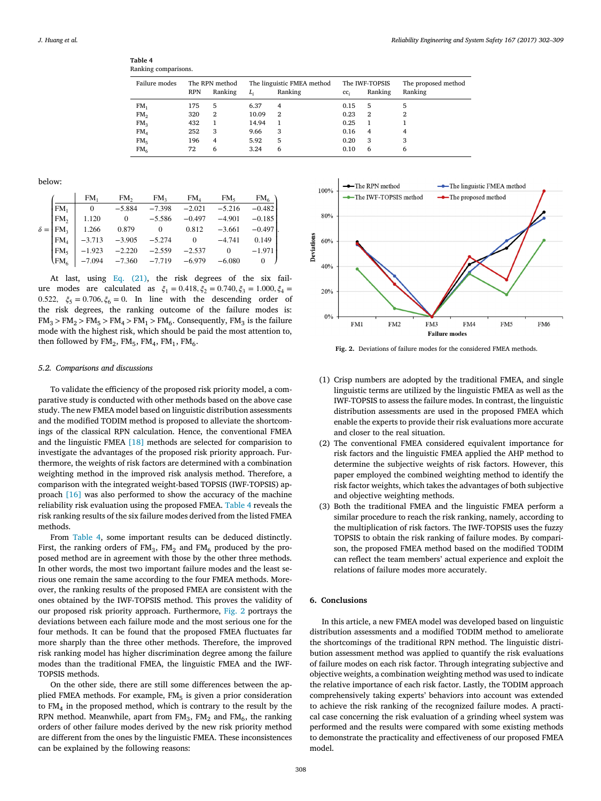<span id="page-6-0"></span>

| Table 4 |                     |
|---------|---------------------|
|         | Ranking comparisons |

| Failure modes   | <b>RPN</b> | The RPN method<br>Ranking | $L_i$ | The linguistic FMEA method<br>Ranking | cc <sub>i</sub> | The IWF-TOPSIS<br>Ranking | The proposed method<br>Ranking |
|-----------------|------------|---------------------------|-------|---------------------------------------|-----------------|---------------------------|--------------------------------|
| FM <sub>1</sub> | 175        | 5                         | 6.37  | 4                                     | 0.15            | 5                         | 5                              |
| FM <sub>2</sub> | 320        | 2                         | 10.09 | 2                                     | 0.23            | $\overline{2}$            | 2                              |
| FM <sub>3</sub> | 432        | 1                         | 14.94 | 1                                     | 0.25            | 1                         |                                |
| FM <sub>4</sub> | 252        | 3                         | 9.66  | 3                                     | 0.16            | 4                         | 4                              |
| FM <sub>5</sub> | 196        | 4                         | 5.92  | 5                                     | 0.20            | 3                         | 3                              |
| FM <sub>6</sub> | 72         | 6                         | 3.24  | 6                                     | 0.10            | 6                         | 6                              |

below:

|                                    | FM.                                            | FM <sub>2</sub> | FM <sub>2</sub> | $\mathop{\rm FM}\nolimits_4$ | $FM_{5}$     | FM <sub>6</sub> |
|------------------------------------|------------------------------------------------|-----------------|-----------------|------------------------------|--------------|-----------------|
| FM <sub>1</sub>                    | $\mathbf{0}$                                   | $-5.884$        | $-7.398$        | $-2.021$                     | $-5.216$     | $-0.482$        |
| FM <sub>2</sub>                    | 1.120                                          | $\mathbf{0}$    | $-5.586$        | $-0.497$                     | $-4.901$     | $-0.185$        |
| $\delta = \mathbf{F} \mathbf{M}_3$ | 1.266                                          | 0.879           |                 | 0.812                        | $-3.661$     | $-0.497$ .      |
| FM <sub>4</sub>                    | $-3.713$                                       | $-3.905$        | $-5.274$        | $\mathbf{0}$                 | $-4.741$     | 0.149           |
| HM <sub>5</sub>                    | $-1.923$                                       | $-2.220$        | $-2.559$        | $-2.537$                     | $\mathbf{0}$ | $-1.971$        |
| $\rm{F}M_{6}$                      | $\vert -7.094 \vert -7.360 \vert -7.719 \vert$ |                 |                 | $-6.979$                     | $-6.080$     |                 |

At last, using Eq. [\(21\),](#page-4-0) the risk degrees of the six failure modes are calculated as  $\xi_1 = 0.418, \xi_2 = 0.740, \xi_3 = 1.000, \xi_4 =$ 0.522,  $\xi_5 = 0.706, \xi_6 = 0$ . In line with the descending order of the risk degrees, the ranking outcome of the failure modes is:  $FM_3 > FM_2 > FM_5 > FM_4 > FM_1 > FM_6$ . Consequently,  $FM_3$  is the failure mode with the highest risk, which should be paid the most attention to, then followed by  $FM<sub>2</sub>$ ,  $FM<sub>5</sub>$ ,  $FM<sub>4</sub>$ ,  $FM<sub>1</sub>$ ,  $FM<sub>6</sub>$ .

### *5.2. Comparisons and discussions*

To validate the efficiency of the proposed risk priority model, a comparative study is conducted with other methods based on the above case study. The new FMEA model based on linguistic distribution assessments and the modified TODIM method is proposed to alleviate the shortcomings of the classical RPN calculation. Hence, the conventional FMEA and the linguistic FMEA [\[18\]](#page-7-0) methods are selected for comparision to investigate the advantages of the proposed risk priority approach. Furthermore, the weights of risk factors are determined with a combination weighting method in the improved risk analysis method. Therefore, a comparison with the integrated weight-based TOPSIS (IWF-TOPSIS) approach [\[16\]](#page-7-0) was also performed to show the accuracy of the machine reliability risk evaluation using the proposed FMEA. Table 4 reveals the risk ranking results of the six failure modes derived from the listed FMEA methods.

From Table 4, some important results can be deduced distinctly. First, the ranking orders of  $FM<sub>3</sub>$ ,  $FM<sub>2</sub>$  and  $FM<sub>6</sub>$  produced by the proposed method are in agreement with those by the other three methods. In other words, the most two important failure modes and the least serious one remain the same according to the four FMEA methods. Moreover, the ranking results of the proposed FMEA are consistent with the ones obtained by the IWF-TOPSIS method. This proves the validity of our proposed risk priority approach. Furthermore, Fig. 2 portrays the deviations between each failure mode and the most serious one for the four methods. It can be found that the proposed FMEA fluctuates far more sharply than the three other methods. Therefore, the improved risk ranking model has higher discrimination degree among the failure modes than the traditional FMEA, the linguistic FMEA and the IWF-TOPSIS methods.

On the other side, there are still some differences between the applied FMEA methods. For example,  $FM<sub>5</sub>$  is given a prior consideration to  $FM<sub>4</sub>$  in the proposed method, which is contrary to the result by the RPN method. Meanwhile, apart from  $FM<sub>3</sub>$ ,  $FM<sub>2</sub>$  and  $FM<sub>6</sub>$ , the ranking orders of other failure modes derived by the new risk priority method are different from the ones by the linguistic FMEA. These inconsistences can be explained by the following reasons:



**Fig. 2.** Deviations of failure modes for the considered FMEA methods.

- (1) Crisp numbers are adopted by the traditional FMEA, and single linguistic terms are utilized by the linguistic FMEA as well as the IWF-TOPSIS to assess the failure modes. In contrast, the linguistic distribution assessments are used in the proposed FMEA which enable the experts to provide their risk evaluations more accurate and closer to the real situation.
- (2) The conventional FMEA considered equivalent importance for risk factors and the linguistic FMEA applied the AHP method to determine the subjective weights of risk factors. However, this paper employed the combined weighting method to identify the risk factor weights, which takes the advantages of both subjective and objective weighting methods.
- (3) Both the traditional FMEA and the linguistic FMEA perform a similar procedure to reach the risk ranking, namely, according to the multiplication of risk factors. The IWF-TOPSIS uses the fuzzy TOPSIS to obtain the risk ranking of failure modes. By comparison, the proposed FMEA method based on the modified TODIM can reflect the team members' actual experience and exploit the relations of failure modes more accurately.

## **6. Conclusions**

In this article, a new FMEA model was developed based on linguistic distribution assessments and a modified TODIM method to ameliorate the shortcomings of the traditional RPN method. The linguistic distribution assessment method was applied to quantify the risk evaluations of failure modes on each risk factor. Through integrating subjective and objective weights, a combination weighting method was used to indicate the relative importance of each risk factor. Lastly, the TODIM approach comprehensively taking experts' behaviors into account was extended to achieve the risk ranking of the recognized failure modes. A practical case concerning the risk evaluation of a grinding wheel system was performed and the results were compared with some existing methods to demonstrate the practicality and effectiveness of our proposed FMEA model.